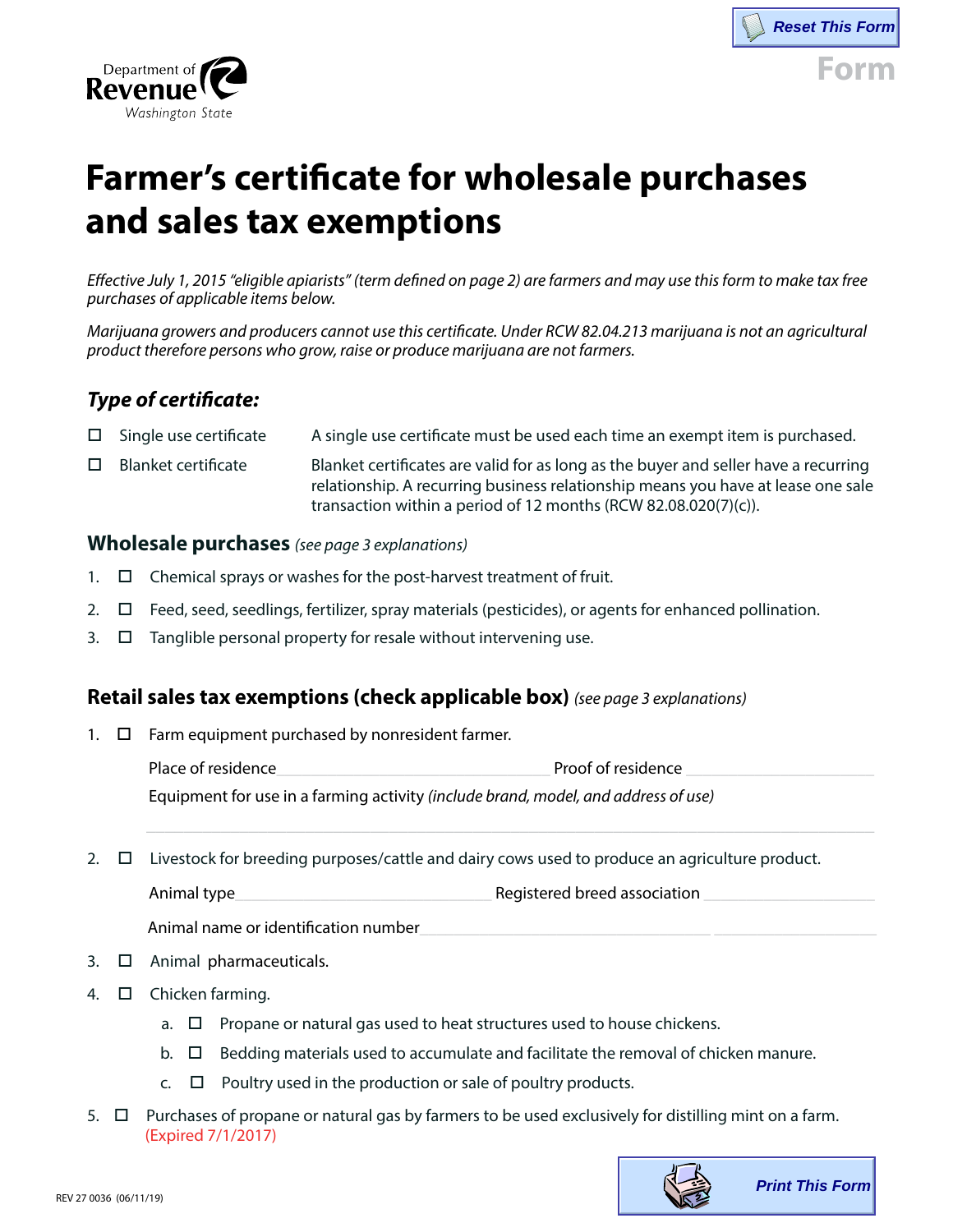



# **Farmer's certificate for wholesale purchases and sales tax exemptions**

*Effective July 1, 2015 "eligible apiarists" (term defined on page 2) are farmers and may use this form to make tax free purchases of applicable items below.* 

*Marijuana growers and producers cannot use this certificate. Under RCW 82.04.213 marijuana is not an agricultural product therefore persons who grow, raise or produce marijuana are not farmers.* 

# *Type of certificate:*

|        | $\Box$ Single use certificate | A single use certificate must be used each time an exempt item is purchased.                                                                                                                                                               |
|--------|-------------------------------|--------------------------------------------------------------------------------------------------------------------------------------------------------------------------------------------------------------------------------------------|
| $\Box$ | Blanket certificate           | Blanket certificates are valid for as long as the buyer and seller have a recurring<br>relationship. A recurring business relationship means you have at lease one sale<br>transaction within a period of 12 months (RCW 82.08.020(7)(c)). |

#### **Wholesale purchases** *(see page 3 explanations)*

- 1.  $\Box$  Chemical sprays or washes for the post-harvest treatment of fruit.
- 2.  $\square$  Feed, seed, seedlings, fertilizer, spray materials (pesticides), or agents for enhanced pollination.
- $3. \Box$  Tanglible personal property for resale without intervening use.

### **Retail sales tax exemptions (check applicable box)** *(see page 3 explanations)*

1.  $\Box$  Farm equipment purchased by nonresident farmer.

Place of residence example and the proof of residence  $\Gamma$ 

\_\_\_\_\_\_\_\_\_\_\_\_\_\_\_\_\_\_\_\_\_\_\_\_\_\_\_\_\_\_\_\_\_\_\_\_\_\_\_\_\_\_\_\_\_\_\_\_\_\_\_\_\_\_\_\_\_\_\_\_\_\_\_\_\_\_\_\_\_\_\_\_\_\_\_\_\_\_

Equipment for use in a farming activity *(include brand, model, and address of use)*

2.  $\Box$  Livestock for breeding purposes/cattle and dairy cows used to produce an agriculture product.

Animal type equal through the set of the set of the Registered breed association  $\Gamma$ 

Animal name or identification number

- 3.  $\Box$  Animal pharmaceuticals.
- 4.  $\Box$  Chicken farming.
	- a.  $\Box$  Propane or natural gas used to heat structures used to house chickens.
	- b.  $\Box$  Bedding materials used to accumulate and facilitate the removal of chicken manure.
	- $c. \Box$  Poultry used in the production or sale of poultry products.
- 5.  $\Box$  Purchases of propane or natural gas by farmers to be used exclusively for distilling mint on a farm. (Expired 7/1/2017)

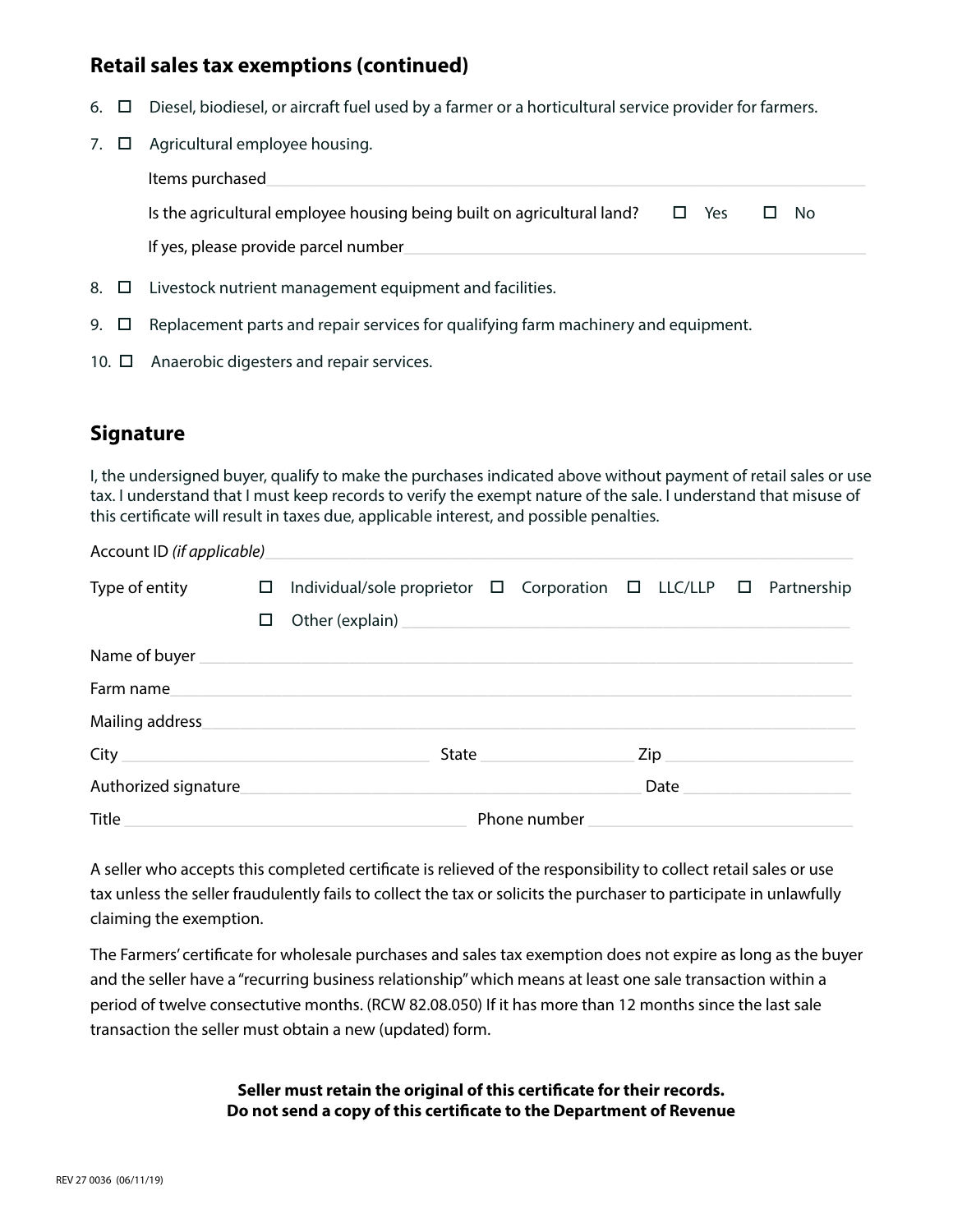## **Retail sales tax exemptions (continued)**

- 6.  $\Box$  Diesel, biodiesel, or aircraft fuel used by a farmer or a horticultural service provider for farmers.
- 7.  $\Box$  Agricultural employee housing.

Items purchased Is the agricultural employee housing being built on agricultural land?  $\square$  Yes  $\square$  No

If yes, please provide parcel number\_

- 8.  $\Box$  Livestock nutrient management equipment and facilities.
- 9.  $\Box$  Replacement parts and repair services for qualifying farm machinery and equipment.
- 10.  $\Box$  Anaerobic digesters and repair services.

## **Signature**

I, the undersigned buyer, qualify to make the purchases indicated above without payment of retail sales or use tax. I understand that I must keep records to verify the exempt nature of the sale. I understand that misuse of this certificate will result in taxes due, applicable interest, and possible penalties.

| Account ID (if applicable) |        |                                                                                 |                       |                                                                                                                                      |                                       |      |  |  |  |
|----------------------------|--------|---------------------------------------------------------------------------------|-----------------------|--------------------------------------------------------------------------------------------------------------------------------------|---------------------------------------|------|--|--|--|
| Type of entity             | $\Box$ | Individual/sole proprietor $\Box$ Corporation $\Box$ LLC/LLP $\Box$ Partnership |                       |                                                                                                                                      |                                       |      |  |  |  |
|                            | □      |                                                                                 |                       |                                                                                                                                      |                                       |      |  |  |  |
|                            |        | Name of buyer <b>Name of buyer</b>                                              |                       |                                                                                                                                      |                                       |      |  |  |  |
| Farm name                  |        |                                                                                 |                       |                                                                                                                                      |                                       |      |  |  |  |
| Mailing address            |        |                                                                                 |                       |                                                                                                                                      |                                       |      |  |  |  |
|                            |        |                                                                                 | State _______________ |                                                                                                                                      | $\mathsf{Zip} \hspace{0.5cm} \square$ |      |  |  |  |
| Authorized signature       |        |                                                                                 |                       |                                                                                                                                      |                                       | Date |  |  |  |
| Title                      |        |                                                                                 |                       | Phone number<br><u> 1989 - Johann Stein, mars andrewind ar yn y sefydlu y gwysiad y gwysiad y gwysiad y gwysiad y gwysiad y gwys</u> |                                       |      |  |  |  |

A seller who accepts this completed certificate is relieved of the responsibility to collect retail sales or use tax unless the seller fraudulently fails to collect the tax or solicits the purchaser to participate in unlawfully claiming the exemption.

The Farmers' certificate for wholesale purchases and sales tax exemption does not expire as long as the buyer and the seller have a "recurring business relationship" which means at least one sale transaction within a period of twelve consectutive months. (RCW 82.08.050) If it has more than 12 months since the last sale transaction the seller must obtain a new (updated) form.

> **Seller must retain the original of this certificate for their records. Do not send a copy of this certificate to the Department of Revenue**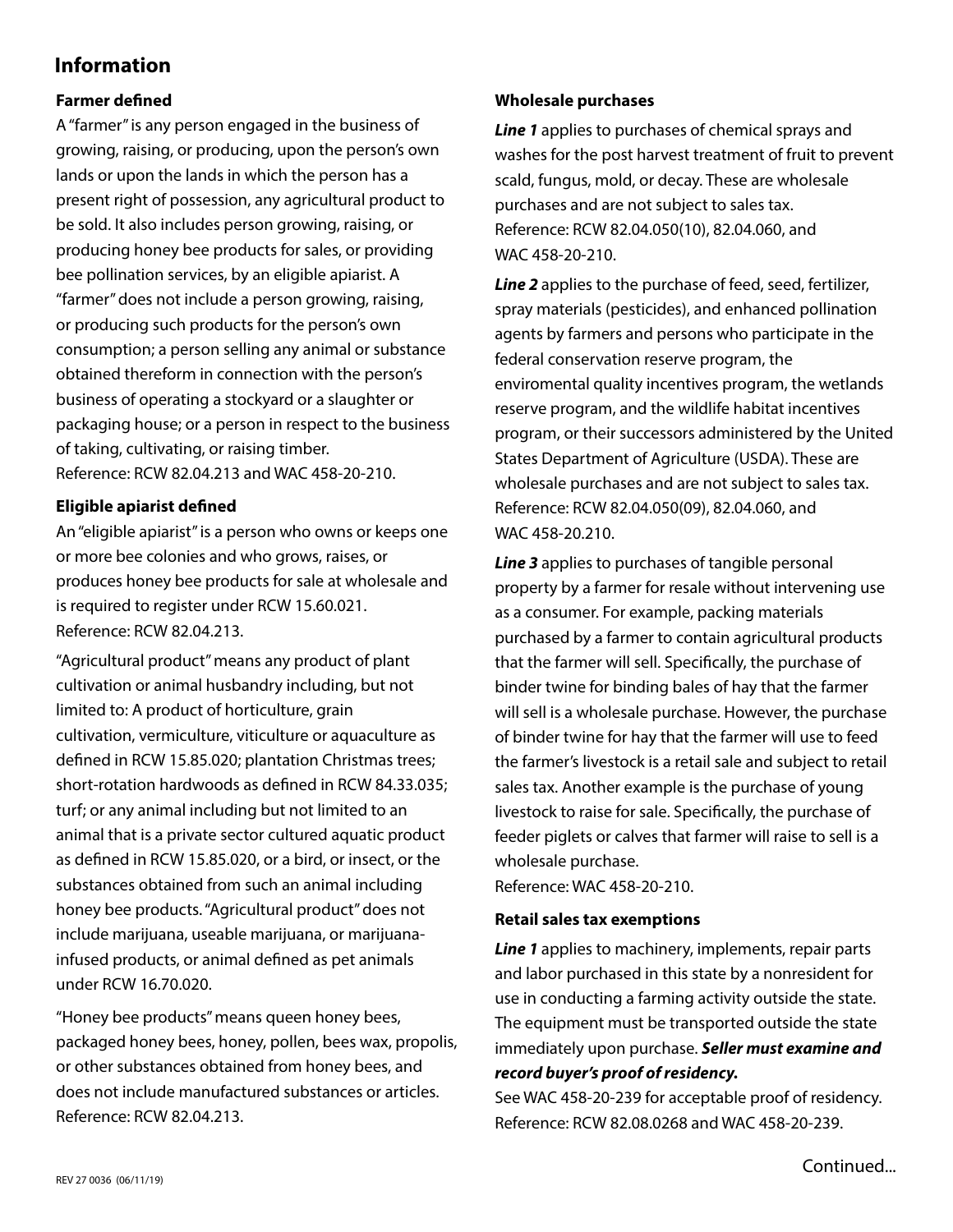## **Information**

#### **Farmer defined**

A "farmer" is any person engaged in the business of growing, raising, or producing, upon the person's own lands or upon the lands in which the person has a present right of possession, any agricultural product to be sold. It also includes person growing, raising, or producing honey bee products for sales, or providing bee pollination services, by an eligible apiarist. A "farmer" does not include a person growing, raising, or producing such products for the person's own consumption; a person selling any animal or substance obtained thereform in connection with the person's business of operating a stockyard or a slaughter or packaging house; or a person in respect to the business of taking, cultivating, or raising timber. Reference: RCW 82.04.213 and WAC 458-20-210.

#### **Eligible apiarist defined**

An "eligible apiarist" is a person who owns or keeps one or more bee colonies and who grows, raises, or produces honey bee products for sale at wholesale and is required to register under RCW 15.60.021. Reference: RCW 82.04.213.

"Agricultural product" means any product of plant cultivation or animal husbandry including, but not limited to: A product of horticulture, grain cultivation, vermiculture, viticulture or aquaculture as defined in RCW 15.85.020; plantation Christmas trees; short-rotation hardwoods as defined in RCW 84.33.035; turf; or any animal including but not limited to an animal that is a private sector cultured aquatic product as defined in RCW 15.85.020, or a bird, or insect, or the substances obtained from such an animal including honey bee products. "Agricultural product" does not include marijuana, useable marijuana, or marijuanainfused products, or animal defined as pet animals under RCW 16.70.020.

"Honey bee products" means queen honey bees, packaged honey bees, honey, pollen, bees wax, propolis, or other substances obtained from honey bees, and does not include manufactured substances or articles. Reference: RCW 82.04.213.

#### **Wholesale purchases**

*Line 1* applies to purchases of chemical sprays and washes for the post harvest treatment of fruit to prevent scald, fungus, mold, or decay. These are wholesale purchases and are not subject to sales tax. Reference: RCW 82.04.050(10), 82.04.060, and WAC 458-20-210.

*Line 2* applies to the purchase of feed, seed, fertilizer, spray materials (pesticides), and enhanced pollination agents by farmers and persons who participate in the federal conservation reserve program, the enviromental quality incentives program, the wetlands reserve program, and the wildlife habitat incentives program, or their successors administered by the United States Department of Agriculture (USDA). These are wholesale purchases and are not subject to sales tax. Reference: RCW 82.04.050(09), 82.04.060, and WAC 458-20.210.

*Line 3* applies to purchases of tangible personal property by a farmer for resale without intervening use as a consumer. For example, packing materials purchased by a farmer to contain agricultural products that the farmer will sell. Specifically, the purchase of binder twine for binding bales of hay that the farmer will sell is a wholesale purchase. However, the purchase of binder twine for hay that the farmer will use to feed the farmer's livestock is a retail sale and subject to retail sales tax. Another example is the purchase of young livestock to raise for sale. Specifically, the purchase of feeder piglets or calves that farmer will raise to sell is a wholesale purchase.

Reference: WAC 458-20-210.

#### **Retail sales tax exemptions**

*Line 1* applies to machinery, implements, repair parts and labor purchased in this state by a nonresident for use in conducting a farming activity outside the state. The equipment must be transported outside the state immediately upon purchase. *Seller must examine and record buyer's proof of residency.*

See WAC 458-20-239 for acceptable proof of residency. Reference: RCW 82.08.0268 and WAC 458-20-239.